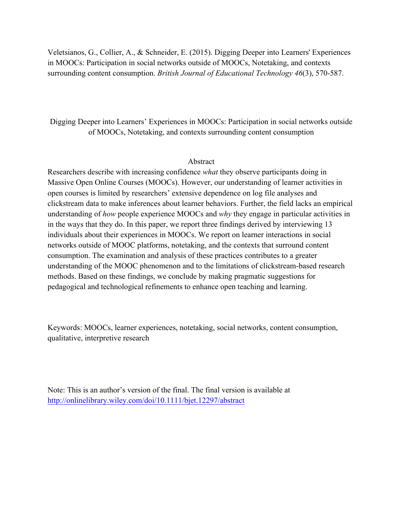Veletsianos, G., Collier, A., & Schneider, E. (2015). Digging Deeper into Learners' Experiences in MOOCs: Participation in social networks outside of MOOCs, Notetaking, and contexts surrounding content consumption. *British Journal of Educational Technology 46*(3), 570-587.

Digging Deeper into Learners' Experiences in MOOCs: Participation in social networks outside of MOOCs, Notetaking, and contexts surrounding content consumption

# Abstract

Researchers describe with increasing confidence *what* they observe participants doing in Massive Open Online Courses (MOOCs). However, our understanding of learner activities in open courses is limited by researchers' extensive dependence on log file analyses and clickstream data to make inferences about learner behaviors. Further, the field lacks an empirical understanding of *how* people experience MOOCs and *why* they engage in particular activities in in the ways that they do. In this paper, we report three findings derived by interviewing 13 individuals about their experiences in MOOCs. We report on learner interactions in social networks outside of MOOC platforms, notetaking, and the contexts that surround content consumption. The examination and analysis of these practices contributes to a greater understanding of the MOOC phenomenon and to the limitations of clickstream-based research methods. Based on these findings, we conclude by making pragmatic suggestions for pedagogical and technological refinements to enhance open teaching and learning.

Keywords: MOOCs, learner experiences, notetaking, social networks, content consumption, qualitative, interpretive research

Note: This is an author's version of the final. The final version is available at http://onlinelibrary.wiley.com/doi/10.1111/bjet.12297/abstract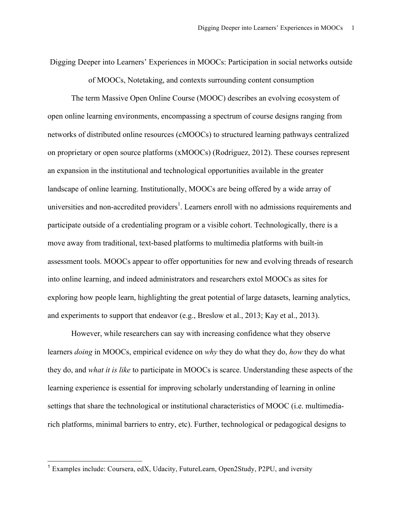Digging Deeper into Learners' Experiences in MOOCs: Participation in social networks outside

of MOOCs, Notetaking, and contexts surrounding content consumption

The term Massive Open Online Course (MOOC) describes an evolving ecosystem of open online learning environments, encompassing a spectrum of course designs ranging from networks of distributed online resources (cMOOCs) to structured learning pathways centralized on proprietary or open source platforms (xMOOCs) (Rodriguez, 2012). These courses represent an expansion in the institutional and technological opportunities available in the greater landscape of online learning. Institutionally, MOOCs are being offered by a wide array of universities and non-accredited providers<sup>1</sup>. Learners enroll with no admissions requirements and participate outside of a credentialing program or a visible cohort. Technologically, there is a move away from traditional, text-based platforms to multimedia platforms with built-in assessment tools. MOOCs appear to offer opportunities for new and evolving threads of research into online learning, and indeed administrators and researchers extol MOOCs as sites for exploring how people learn, highlighting the great potential of large datasets, learning analytics, and experiments to support that endeavor (e.g., Breslow et al., 2013; Kay et al., 2013).

However, while researchers can say with increasing confidence what they observe learners *doing* in MOOCs, empirical evidence on *why* they do what they do, *how* they do what they do, and *what it is like* to participate in MOOCs is scarce. Understanding these aspects of the learning experience is essential for improving scholarly understanding of learning in online settings that share the technological or institutional characteristics of MOOC (i.e. multimediarich platforms, minimal barriers to entry, etc). Further, technological or pedagogical designs to

<sup>&</sup>lt;sup>1</sup> Examples include: Coursera, edX, Udacity, FutureLearn, Open2Study, P2PU, and iversity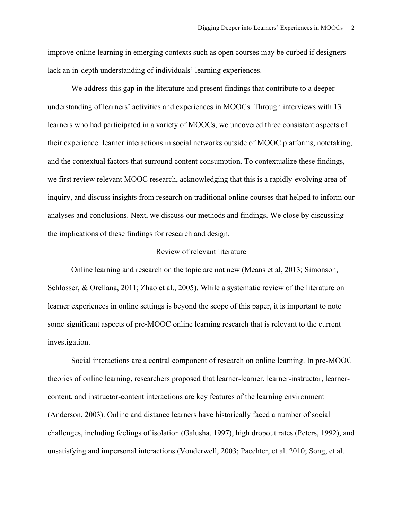improve online learning in emerging contexts such as open courses may be curbed if designers lack an in-depth understanding of individuals' learning experiences.

We address this gap in the literature and present findings that contribute to a deeper understanding of learners' activities and experiences in MOOCs. Through interviews with 13 learners who had participated in a variety of MOOCs, we uncovered three consistent aspects of their experience: learner interactions in social networks outside of MOOC platforms, notetaking, and the contextual factors that surround content consumption. To contextualize these findings, we first review relevant MOOC research, acknowledging that this is a rapidly-evolving area of inquiry, and discuss insights from research on traditional online courses that helped to inform our analyses and conclusions. Next, we discuss our methods and findings. We close by discussing the implications of these findings for research and design.

## Review of relevant literature

Online learning and research on the topic are not new (Means et al, 2013; Simonson, Schlosser, & Orellana, 2011; Zhao et al., 2005). While a systematic review of the literature on learner experiences in online settings is beyond the scope of this paper, it is important to note some significant aspects of pre-MOOC online learning research that is relevant to the current investigation.

Social interactions are a central component of research on online learning. In pre-MOOC theories of online learning, researchers proposed that learner-learner, learner-instructor, learnercontent, and instructor-content interactions are key features of the learning environment (Anderson, 2003). Online and distance learners have historically faced a number of social challenges, including feelings of isolation (Galusha, 1997), high dropout rates (Peters, 1992), and unsatisfying and impersonal interactions (Vonderwell, 2003; Paechter, et al. 2010; Song, et al.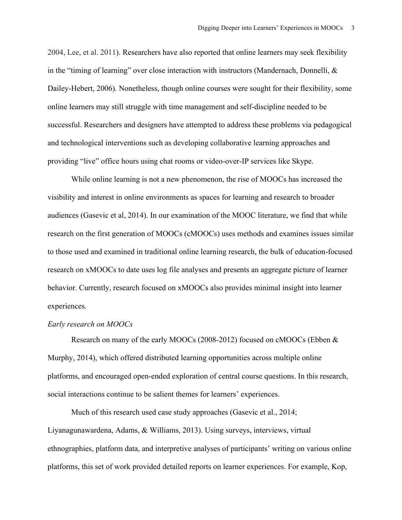2004, Lee, et al. 2011). Researchers have also reported that online learners may seek flexibility in the "timing of learning" over close interaction with instructors (Mandernach, Donnelli, & Dailey-Hebert, 2006). Nonetheless, though online courses were sought for their flexibility, some online learners may still struggle with time management and self-discipline needed to be successful. Researchers and designers have attempted to address these problems via pedagogical and technological interventions such as developing collaborative learning approaches and providing "live" office hours using chat rooms or video-over-IP services like Skype.

While online learning is not a new phenomenon, the rise of MOOCs has increased the visibility and interest in online environments as spaces for learning and research to broader audiences (Gasevic et al, 2014). In our examination of the MOOC literature, we find that while research on the first generation of MOOCs (cMOOCs) uses methods and examines issues similar to those used and examined in traditional online learning research, the bulk of education-focused research on xMOOCs to date uses log file analyses and presents an aggregate picture of learner behavior. Currently, research focused on xMOOCs also provides minimal insight into learner experiences.

## *Early research on MOOCs*

Research on many of the early MOOCs (2008-2012) focused on cMOOCs (Ebben & Murphy, 2014), which offered distributed learning opportunities across multiple online platforms, and encouraged open-ended exploration of central course questions. In this research, social interactions continue to be salient themes for learners' experiences.

Much of this research used case study approaches (Gasevic et al., 2014; Liyanagunawardena, Adams, & Williams, 2013). Using surveys, interviews, virtual ethnographies, platform data, and interpretive analyses of participants' writing on various online platforms, this set of work provided detailed reports on learner experiences. For example, Kop,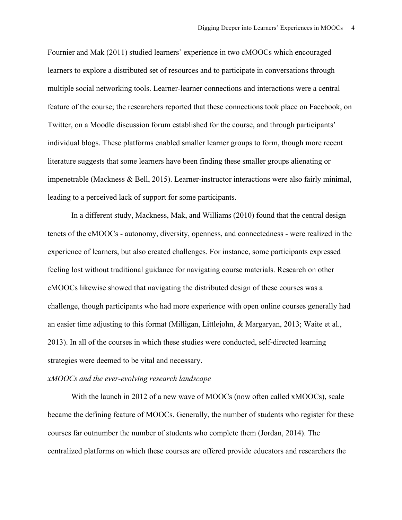Fournier and Mak (2011) studied learners' experience in two cMOOCs which encouraged learners to explore a distributed set of resources and to participate in conversations through multiple social networking tools. Learner-learner connections and interactions were a central feature of the course; the researchers reported that these connections took place on Facebook, on Twitter, on a Moodle discussion forum established for the course, and through participants' individual blogs. These platforms enabled smaller learner groups to form, though more recent literature suggests that some learners have been finding these smaller groups alienating or impenetrable (Mackness & Bell, 2015). Learner-instructor interactions were also fairly minimal, leading to a perceived lack of support for some participants.

In a different study, Mackness, Mak, and Williams (2010) found that the central design tenets of the cMOOCs - autonomy, diversity, openness, and connectedness - were realized in the experience of learners, but also created challenges. For instance, some participants expressed feeling lost without traditional guidance for navigating course materials. Research on other cMOOCs likewise showed that navigating the distributed design of these courses was a challenge, though participants who had more experience with open online courses generally had an easier time adjusting to this format (Milligan, Littlejohn, & Margaryan, 2013; Waite et al., 2013). In all of the courses in which these studies were conducted, self-directed learning strategies were deemed to be vital and necessary.

## *xMOOCs and the ever-evolving research landscape*

With the launch in 2012 of a new wave of MOOCs (now often called xMOOCs), scale became the defining feature of MOOCs. Generally, the number of students who register for these courses far outnumber the number of students who complete them (Jordan, 2014). The centralized platforms on which these courses are offered provide educators and researchers the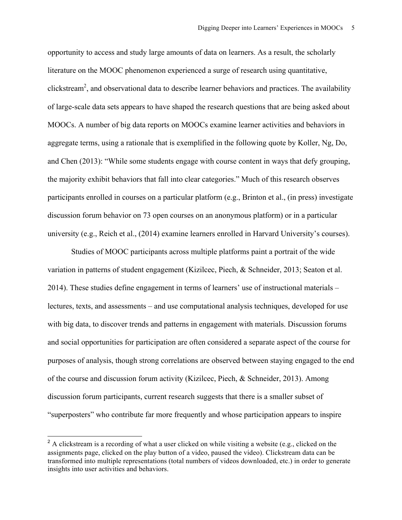opportunity to access and study large amounts of data on learners. As a result, the scholarly literature on the MOOC phenomenon experienced a surge of research using quantitative, clickstream<sup>2</sup>, and observational data to describe learner behaviors and practices. The availability of large-scale data sets appears to have shaped the research questions that are being asked about MOOCs. A number of big data reports on MOOCs examine learner activities and behaviors in aggregate terms, using a rationale that is exemplified in the following quote by Koller, Ng, Do, and Chen (2013): "While some students engage with course content in ways that defy grouping, the majority exhibit behaviors that fall into clear categories." Much of this research observes participants enrolled in courses on a particular platform (e.g., Brinton et al., (in press) investigate discussion forum behavior on 73 open courses on an anonymous platform) or in a particular university (e.g., Reich et al., (2014) examine learners enrolled in Harvard University's courses).

Studies of MOOC participants across multiple platforms paint a portrait of the wide variation in patterns of student engagement (Kizilcec, Piech, & Schneider, 2013; Seaton et al. 2014). These studies define engagement in terms of learners' use of instructional materials – lectures, texts, and assessments – and use computational analysis techniques, developed for use with big data, to discover trends and patterns in engagement with materials. Discussion forums and social opportunities for participation are often considered a separate aspect of the course for purposes of analysis, though strong correlations are observed between staying engaged to the end of the course and discussion forum activity (Kizilcec, Piech, & Schneider, 2013). Among discussion forum participants, current research suggests that there is a smaller subset of "superposters" who contribute far more frequently and whose participation appears to inspire

<sup>&</sup>lt;sup>2</sup> A clickstream is a recording of what a user clicked on while visiting a website (e.g., clicked on the assignments page, clicked on the play button of a video, paused the video). Clickstream data can be transformed into multiple representations (total numbers of videos downloaded, etc.) in order to generate insights into user activities and behaviors.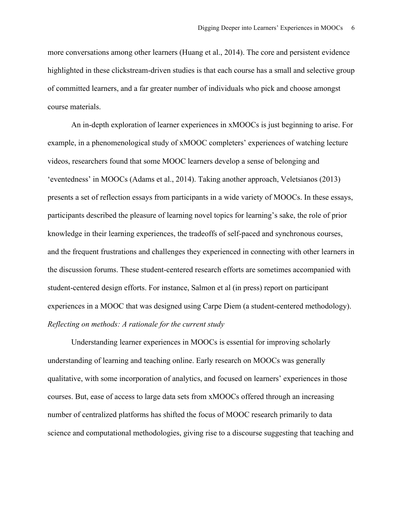more conversations among other learners (Huang et al., 2014). The core and persistent evidence highlighted in these clickstream-driven studies is that each course has a small and selective group of committed learners, and a far greater number of individuals who pick and choose amongst course materials.

An in-depth exploration of learner experiences in xMOOCs is just beginning to arise. For example, in a phenomenological study of xMOOC completers' experiences of watching lecture videos, researchers found that some MOOC learners develop a sense of belonging and 'eventedness' in MOOCs (Adams et al., 2014). Taking another approach, Veletsianos (2013) presents a set of reflection essays from participants in a wide variety of MOOCs. In these essays, participants described the pleasure of learning novel topics for learning's sake, the role of prior knowledge in their learning experiences, the tradeoffs of self-paced and synchronous courses, and the frequent frustrations and challenges they experienced in connecting with other learners in the discussion forums. These student-centered research efforts are sometimes accompanied with student-centered design efforts. For instance, Salmon et al (in press) report on participant experiences in a MOOC that was designed using Carpe Diem (a student-centered methodology). *Reflecting on methods: A rationale for the current study*

Understanding learner experiences in MOOCs is essential for improving scholarly understanding of learning and teaching online. Early research on MOOCs was generally qualitative, with some incorporation of analytics, and focused on learners' experiences in those courses. But, ease of access to large data sets from xMOOCs offered through an increasing number of centralized platforms has shifted the focus of MOOC research primarily to data science and computational methodologies, giving rise to a discourse suggesting that teaching and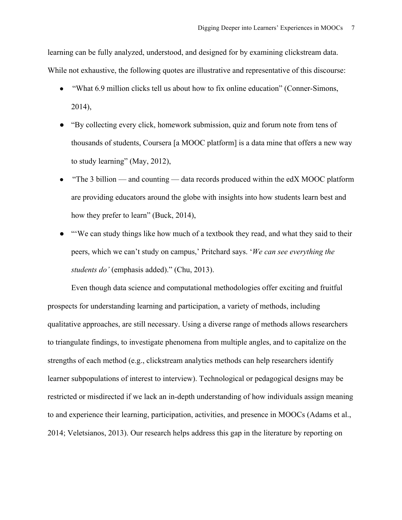learning can be fully analyzed, understood, and designed for by examining clickstream data. While not exhaustive, the following quotes are illustrative and representative of this discourse:

- "What 6.9 million clicks tell us about how to fix online education" (Conner-Simons, 2014),
- "By collecting every click, homework submission, quiz and forum note from tens of thousands of students, Coursera [a MOOC platform] is a data mine that offers a new way to study learning" (May, 2012),
- "The 3 billion and counting data records produced within the edX MOOC platform are providing educators around the globe with insights into how students learn best and how they prefer to learn" (Buck, 2014),
- "We can study things like how much of a textbook they read, and what they said to their peers, which we can't study on campus,' Pritchard says. '*We can see everything the students do'* (emphasis added)." (Chu, 2013).

Even though data science and computational methodologies offer exciting and fruitful prospects for understanding learning and participation, a variety of methods, including qualitative approaches, are still necessary. Using a diverse range of methods allows researchers to triangulate findings, to investigate phenomena from multiple angles, and to capitalize on the strengths of each method (e.g., clickstream analytics methods can help researchers identify learner subpopulations of interest to interview). Technological or pedagogical designs may be restricted or misdirected if we lack an in-depth understanding of how individuals assign meaning to and experience their learning, participation, activities, and presence in MOOCs (Adams et al., 2014; Veletsianos, 2013). Our research helps address this gap in the literature by reporting on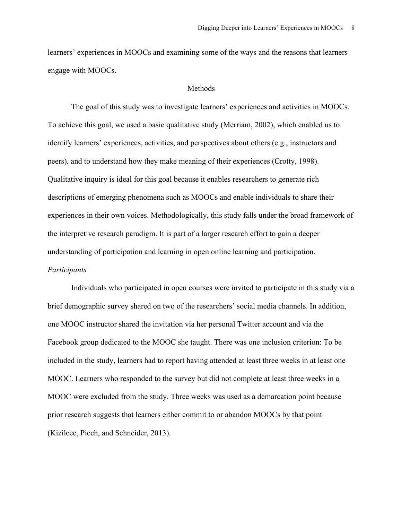learners' experiences in MOOCs and examining some of the ways and the reasons that learners engage with MOOCs.

## Methods

The goal of this study was to investigate learners' experiences and activities in MOOCs. To achieve this goal, we used a basic qualitative study (Merriam, 2002), which enabled us to identify learners' experiences, activities, and perspectives about others (e.g., instructors and peers), and to understand how they make meaning of their experiences (Crotty, 1998). Qualitative inquiry is ideal for this goal because it enables researchers to generate rich descriptions of emerging phenomena such as MOOCs and enable individuals to share their experiences in their own voices. Methodologically, this study falls under the broad framework of the interpretive research paradigm. It is part of a larger research effort to gain a deeper understanding of participation and learning in open online learning and participation. *Participants*

Individuals who participated in open courses were invited to participate in this study via a brief demographic survey shared on two of the researchers' social media channels. In addition, one MOOC instructor shared the invitation via her personal Twitter account and via the Facebook group dedicated to the MOOC she taught. There was one inclusion criterion: To be included in the study, learners had to report having attended at least three weeks in at least one MOOC. Learners who responded to the survey but did not complete at least three weeks in a MOOC were excluded from the study. Three weeks was used as a demarcation point because prior research suggests that learners either commit to or abandon MOOCs by that point (Kizilcec, Piech, and Schneider, 2013).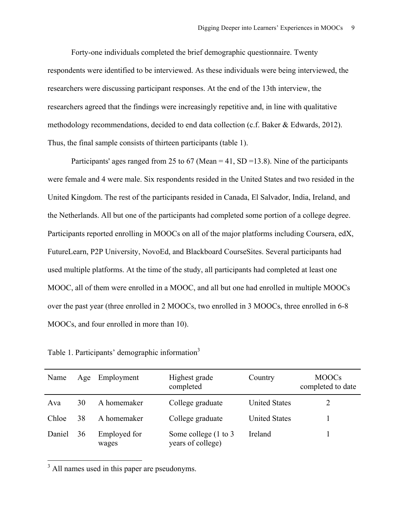Forty-one individuals completed the brief demographic questionnaire. Twenty respondents were identified to be interviewed. As these individuals were being interviewed, the researchers were discussing participant responses. At the end of the 13th interview, the researchers agreed that the findings were increasingly repetitive and, in line with qualitative methodology recommendations, decided to end data collection (c.f. Baker & Edwards, 2012). Thus, the final sample consists of thirteen participants (table 1).

Participants' ages ranged from 25 to 67 (Mean = 41, SD = 13.8). Nine of the participants were female and 4 were male. Six respondents resided in the United States and two resided in the United Kingdom. The rest of the participants resided in Canada, El Salvador, India, Ireland, and the Netherlands. All but one of the participants had completed some portion of a college degree. Participants reported enrolling in MOOCs on all of the major platforms including Coursera, edX, FutureLearn, P2P University, NovoEd, and Blackboard CourseSites. Several participants had used multiple platforms. At the time of the study, all participants had completed at least one MOOC, all of them were enrolled in a MOOC, and all but one had enrolled in multiple MOOCs over the past year (three enrolled in 2 MOOCs, two enrolled in 3 MOOCs, three enrolled in 6-8 MOOCs, and four enrolled in more than 10).

Table 1. Participants' demographic information<sup>3</sup>

| Name   | Age | Employment            | Highest grade<br>completed                            | Country              | <b>MOOCs</b><br>completed to date |
|--------|-----|-----------------------|-------------------------------------------------------|----------------------|-----------------------------------|
| Ava    | 30  | A homemaker           | College graduate                                      | <b>United States</b> |                                   |
| Chloe  | 38  | A homemaker           | College graduate                                      | <b>United States</b> |                                   |
| Daniel | 36  | Employed for<br>wages | Some college $(1 \text{ to } 3)$<br>years of college) | Ireland              |                                   |

<sup>3</sup> All names used in this paper are pseudonyms.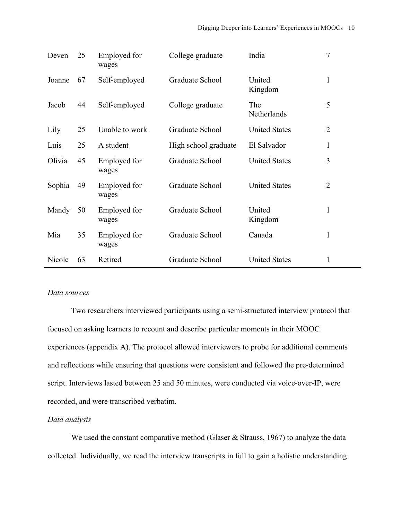| Deven  | 25 | Employed for<br>wages | College graduate     | India                | $\tau$         |
|--------|----|-----------------------|----------------------|----------------------|----------------|
| Joanne | 67 | Self-employed         | Graduate School      | United<br>Kingdom    | $\mathbf{1}$   |
| Jacob  | 44 | Self-employed         | College graduate     | The<br>Netherlands   | 5              |
| Lily   | 25 | Unable to work        | Graduate School      | <b>United States</b> | 2              |
| Luis   | 25 | A student             | High school graduate | El Salvador          | 1              |
| Olivia | 45 | Employed for<br>wages | Graduate School      | <b>United States</b> | 3              |
| Sophia | 49 | Employed for<br>wages | Graduate School      | <b>United States</b> | $\overline{2}$ |
| Mandy  | 50 | Employed for<br>wages | Graduate School      | United<br>Kingdom    | $\mathbf{1}$   |
| Mia    | 35 | Employed for<br>wages | Graduate School      | Canada               | $\mathbf{1}$   |
| Nicole | 63 | Retired               | Graduate School      | <b>United States</b> | $\mathbf{1}$   |

# *Data sources*

Two researchers interviewed participants using a semi-structured interview protocol that focused on asking learners to recount and describe particular moments in their MOOC experiences (appendix A). The protocol allowed interviewers to probe for additional comments and reflections while ensuring that questions were consistent and followed the pre-determined script. Interviews lasted between 25 and 50 minutes, were conducted via voice-over-IP, were recorded, and were transcribed verbatim.

# *Data analysis*

We used the constant comparative method (Glaser & Strauss, 1967) to analyze the data collected. Individually, we read the interview transcripts in full to gain a holistic understanding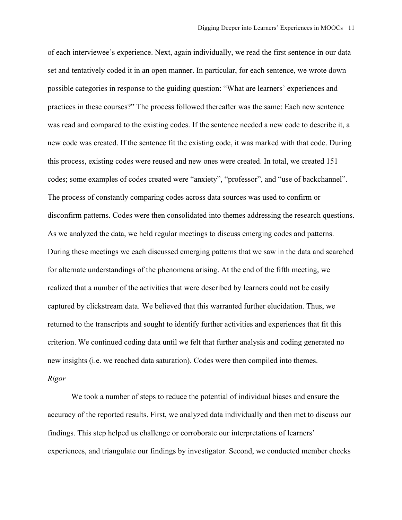of each interviewee's experience. Next, again individually, we read the first sentence in our data set and tentatively coded it in an open manner. In particular, for each sentence, we wrote down possible categories in response to the guiding question: "What are learners' experiences and practices in these courses?" The process followed thereafter was the same: Each new sentence was read and compared to the existing codes. If the sentence needed a new code to describe it, a new code was created. If the sentence fit the existing code, it was marked with that code. During this process, existing codes were reused and new ones were created. In total, we created 151 codes; some examples of codes created were "anxiety", "professor", and "use of backchannel". The process of constantly comparing codes across data sources was used to confirm or disconfirm patterns. Codes were then consolidated into themes addressing the research questions. As we analyzed the data, we held regular meetings to discuss emerging codes and patterns. During these meetings we each discussed emerging patterns that we saw in the data and searched for alternate understandings of the phenomena arising. At the end of the fifth meeting, we realized that a number of the activities that were described by learners could not be easily captured by clickstream data. We believed that this warranted further elucidation. Thus, we returned to the transcripts and sought to identify further activities and experiences that fit this criterion. We continued coding data until we felt that further analysis and coding generated no new insights (i.e. we reached data saturation). Codes were then compiled into themes. *Rigor*

We took a number of steps to reduce the potential of individual biases and ensure the accuracy of the reported results. First, we analyzed data individually and then met to discuss our findings. This step helped us challenge or corroborate our interpretations of learners' experiences, and triangulate our findings by investigator. Second, we conducted member checks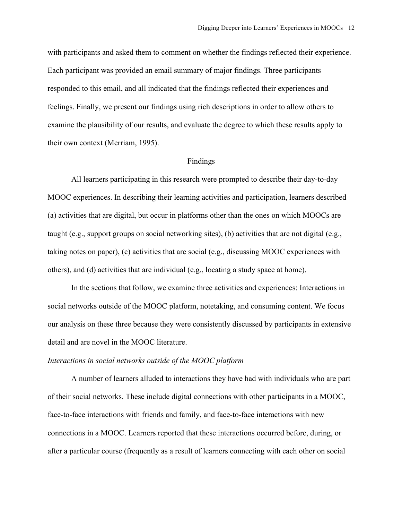with participants and asked them to comment on whether the findings reflected their experience. Each participant was provided an email summary of major findings. Three participants responded to this email, and all indicated that the findings reflected their experiences and feelings. Finally, we present our findings using rich descriptions in order to allow others to examine the plausibility of our results, and evaluate the degree to which these results apply to their own context (Merriam, 1995).

#### Findings

All learners participating in this research were prompted to describe their day-to-day MOOC experiences. In describing their learning activities and participation, learners described (a) activities that are digital, but occur in platforms other than the ones on which MOOCs are taught (e.g., support groups on social networking sites), (b) activities that are not digital (e.g., taking notes on paper), (c) activities that are social (e.g., discussing MOOC experiences with others), and (d) activities that are individual (e.g., locating a study space at home).

In the sections that follow, we examine three activities and experiences: Interactions in social networks outside of the MOOC platform, notetaking, and consuming content. We focus our analysis on these three because they were consistently discussed by participants in extensive detail and are novel in the MOOC literature.

#### *Interactions in social networks outside of the MOOC platform*

A number of learners alluded to interactions they have had with individuals who are part of their social networks. These include digital connections with other participants in a MOOC, face-to-face interactions with friends and family, and face-to-face interactions with new connections in a MOOC. Learners reported that these interactions occurred before, during, or after a particular course (frequently as a result of learners connecting with each other on social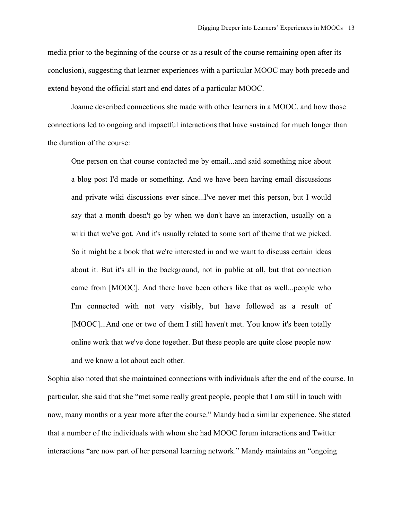media prior to the beginning of the course or as a result of the course remaining open after its conclusion), suggesting that learner experiences with a particular MOOC may both precede and extend beyond the official start and end dates of a particular MOOC.

Joanne described connections she made with other learners in a MOOC, and how those connections led to ongoing and impactful interactions that have sustained for much longer than the duration of the course:

One person on that course contacted me by email...and said something nice about a blog post I'd made or something. And we have been having email discussions and private wiki discussions ever since...I've never met this person, but I would say that a month doesn't go by when we don't have an interaction, usually on a wiki that we've got. And it's usually related to some sort of theme that we picked. So it might be a book that we're interested in and we want to discuss certain ideas about it. But it's all in the background, not in public at all, but that connection came from [MOOC]. And there have been others like that as well...people who I'm connected with not very visibly, but have followed as a result of [MOOC]...And one or two of them I still haven't met. You know it's been totally online work that we've done together. But these people are quite close people now and we know a lot about each other.

Sophia also noted that she maintained connections with individuals after the end of the course. In particular, she said that she "met some really great people, people that I am still in touch with now, many months or a year more after the course." Mandy had a similar experience. She stated that a number of the individuals with whom she had MOOC forum interactions and Twitter interactions "are now part of her personal learning network." Mandy maintains an "ongoing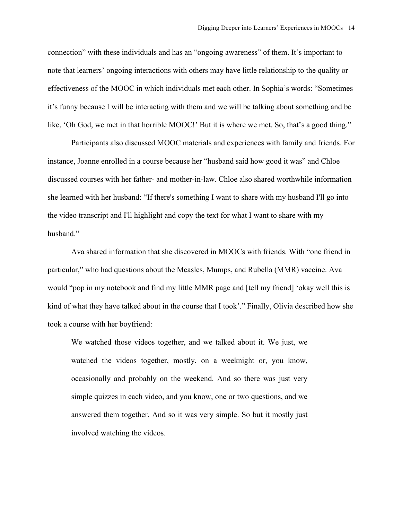connection" with these individuals and has an "ongoing awareness" of them. It's important to note that learners' ongoing interactions with others may have little relationship to the quality or effectiveness of the MOOC in which individuals met each other. In Sophia's words: "Sometimes it's funny because I will be interacting with them and we will be talking about something and be like, 'Oh God, we met in that horrible MOOC!' But it is where we met. So, that's a good thing."

Participants also discussed MOOC materials and experiences with family and friends. For instance, Joanne enrolled in a course because her "husband said how good it was" and Chloe discussed courses with her father- and mother-in-law. Chloe also shared worthwhile information she learned with her husband: "If there's something I want to share with my husband I'll go into the video transcript and I'll highlight and copy the text for what I want to share with my husband."

Ava shared information that she discovered in MOOCs with friends. With "one friend in particular," who had questions about the Measles, Mumps, and Rubella (MMR) vaccine. Ava would "pop in my notebook and find my little MMR page and [tell my friend] 'okay well this is kind of what they have talked about in the course that I took'." Finally, Olivia described how she took a course with her boyfriend:

We watched those videos together, and we talked about it. We just, we watched the videos together, mostly, on a weeknight or, you know, occasionally and probably on the weekend. And so there was just very simple quizzes in each video, and you know, one or two questions, and we answered them together. And so it was very simple. So but it mostly just involved watching the videos.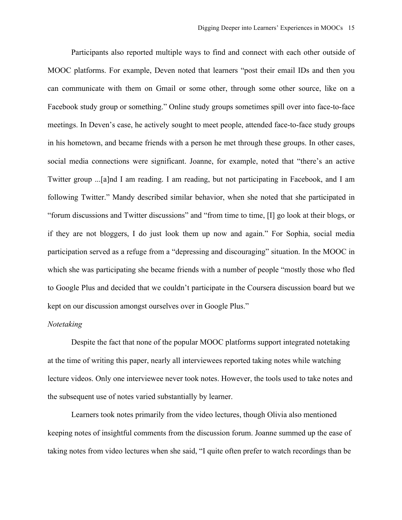Participants also reported multiple ways to find and connect with each other outside of MOOC platforms. For example, Deven noted that learners "post their email IDs and then you can communicate with them on Gmail or some other, through some other source, like on a Facebook study group or something." Online study groups sometimes spill over into face-to-face meetings. In Deven's case, he actively sought to meet people, attended face-to-face study groups in his hometown, and became friends with a person he met through these groups. In other cases, social media connections were significant. Joanne, for example, noted that "there's an active Twitter group ...[a]nd I am reading. I am reading, but not participating in Facebook, and I am following Twitter." Mandy described similar behavior, when she noted that she participated in "forum discussions and Twitter discussions" and "from time to time, [I] go look at their blogs, or if they are not bloggers, I do just look them up now and again." For Sophia, social media participation served as a refuge from a "depressing and discouraging" situation. In the MOOC in which she was participating she became friends with a number of people "mostly those who fled to Google Plus and decided that we couldn't participate in the Coursera discussion board but we kept on our discussion amongst ourselves over in Google Plus."

# *Notetaking*

Despite the fact that none of the popular MOOC platforms support integrated notetaking at the time of writing this paper, nearly all interviewees reported taking notes while watching lecture videos. Only one interviewee never took notes. However, the tools used to take notes and the subsequent use of notes varied substantially by learner.

Learners took notes primarily from the video lectures, though Olivia also mentioned keeping notes of insightful comments from the discussion forum. Joanne summed up the ease of taking notes from video lectures when she said, "I quite often prefer to watch recordings than be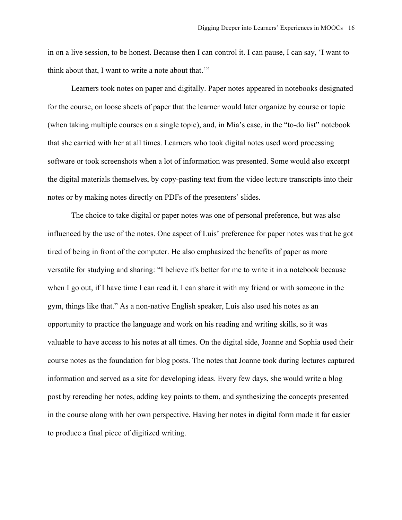in on a live session, to be honest. Because then I can control it. I can pause, I can say, 'I want to think about that, I want to write a note about that.'"

Learners took notes on paper and digitally. Paper notes appeared in notebooks designated for the course, on loose sheets of paper that the learner would later organize by course or topic (when taking multiple courses on a single topic), and, in Mia's case, in the "to-do list" notebook that she carried with her at all times. Learners who took digital notes used word processing software or took screenshots when a lot of information was presented. Some would also excerpt the digital materials themselves, by copy-pasting text from the video lecture transcripts into their notes or by making notes directly on PDFs of the presenters' slides.

The choice to take digital or paper notes was one of personal preference, but was also influenced by the use of the notes. One aspect of Luis' preference for paper notes was that he got tired of being in front of the computer. He also emphasized the benefits of paper as more versatile for studying and sharing: "I believe it's better for me to write it in a notebook because when I go out, if I have time I can read it. I can share it with my friend or with someone in the gym, things like that." As a non-native English speaker, Luis also used his notes as an opportunity to practice the language and work on his reading and writing skills, so it was valuable to have access to his notes at all times. On the digital side, Joanne and Sophia used their course notes as the foundation for blog posts. The notes that Joanne took during lectures captured information and served as a site for developing ideas. Every few days, she would write a blog post by rereading her notes, adding key points to them, and synthesizing the concepts presented in the course along with her own perspective. Having her notes in digital form made it far easier to produce a final piece of digitized writing.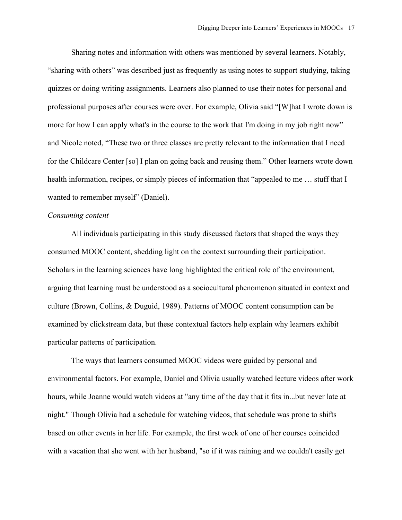Sharing notes and information with others was mentioned by several learners. Notably, "sharing with others" was described just as frequently as using notes to support studying, taking quizzes or doing writing assignments. Learners also planned to use their notes for personal and professional purposes after courses were over. For example, Olivia said "[W]hat I wrote down is more for how I can apply what's in the course to the work that I'm doing in my job right now" and Nicole noted, "These two or three classes are pretty relevant to the information that I need for the Childcare Center [so] I plan on going back and reusing them." Other learners wrote down health information, recipes, or simply pieces of information that "appealed to me … stuff that I wanted to remember myself" (Daniel).

# *Consuming content*

All individuals participating in this study discussed factors that shaped the ways they consumed MOOC content, shedding light on the context surrounding their participation. Scholars in the learning sciences have long highlighted the critical role of the environment, arguing that learning must be understood as a sociocultural phenomenon situated in context and culture (Brown, Collins, & Duguid, 1989). Patterns of MOOC content consumption can be examined by clickstream data, but these contextual factors help explain why learners exhibit particular patterns of participation.

The ways that learners consumed MOOC videos were guided by personal and environmental factors. For example, Daniel and Olivia usually watched lecture videos after work hours, while Joanne would watch videos at "any time of the day that it fits in...but never late at night." Though Olivia had a schedule for watching videos, that schedule was prone to shifts based on other events in her life. For example, the first week of one of her courses coincided with a vacation that she went with her husband, "so if it was raining and we couldn't easily get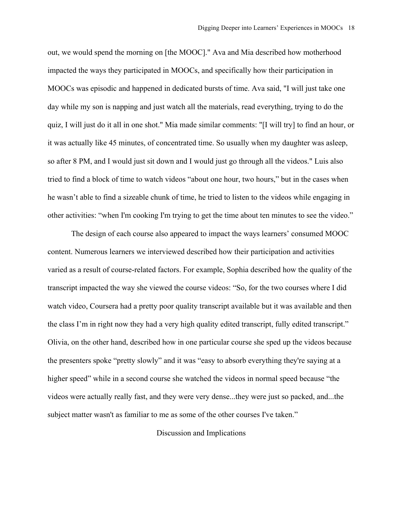out, we would spend the morning on [the MOOC]." Ava and Mia described how motherhood impacted the ways they participated in MOOCs, and specifically how their participation in MOOCs was episodic and happened in dedicated bursts of time. Ava said, "I will just take one day while my son is napping and just watch all the materials, read everything, trying to do the quiz, I will just do it all in one shot." Mia made similar comments: "[I will try] to find an hour, or it was actually like 45 minutes, of concentrated time. So usually when my daughter was asleep, so after 8 PM, and I would just sit down and I would just go through all the videos." Luis also tried to find a block of time to watch videos "about one hour, two hours," but in the cases when he wasn't able to find a sizeable chunk of time, he tried to listen to the videos while engaging in other activities: "when I'm cooking I'm trying to get the time about ten minutes to see the video."

The design of each course also appeared to impact the ways learners' consumed MOOC content. Numerous learners we interviewed described how their participation and activities varied as a result of course-related factors. For example, Sophia described how the quality of the transcript impacted the way she viewed the course videos: "So, for the two courses where I did watch video, Coursera had a pretty poor quality transcript available but it was available and then the class I'm in right now they had a very high quality edited transcript, fully edited transcript." Olivia, on the other hand, described how in one particular course she sped up the videos because the presenters spoke "pretty slowly" and it was "easy to absorb everything they're saying at a higher speed" while in a second course she watched the videos in normal speed because "the videos were actually really fast, and they were very dense...they were just so packed, and...the subject matter wasn't as familiar to me as some of the other courses I've taken."

# Discussion and Implications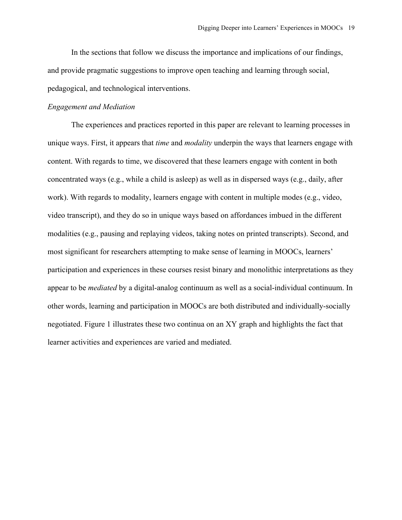In the sections that follow we discuss the importance and implications of our findings, and provide pragmatic suggestions to improve open teaching and learning through social, pedagogical, and technological interventions.

# *Engagement and Mediation*

The experiences and practices reported in this paper are relevant to learning processes in unique ways. First, it appears that *time* and *modality* underpin the ways that learners engage with content. With regards to time, we discovered that these learners engage with content in both concentrated ways (e.g., while a child is asleep) as well as in dispersed ways (e.g., daily, after work). With regards to modality, learners engage with content in multiple modes (e.g., video, video transcript), and they do so in unique ways based on affordances imbued in the different modalities (e.g., pausing and replaying videos, taking notes on printed transcripts). Second, and most significant for researchers attempting to make sense of learning in MOOCs, learners' participation and experiences in these courses resist binary and monolithic interpretations as they appear to be *mediated* by a digital-analog continuum as well as a social-individual continuum. In other words, learning and participation in MOOCs are both distributed and individually-socially negotiated. Figure 1 illustrates these two continua on an XY graph and highlights the fact that learner activities and experiences are varied and mediated.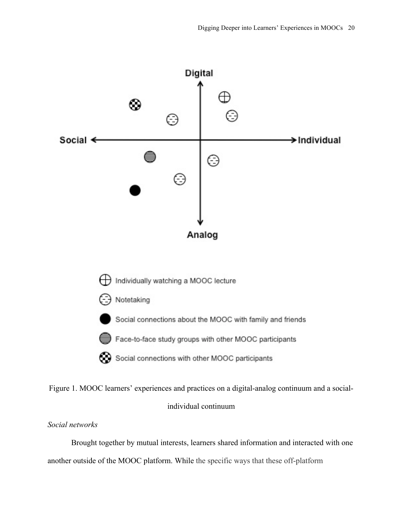

Figure 1. MOOC learners' experiences and practices on a digital-analog continuum and a socialindividual continuum

# *Social networks*

Brought together by mutual interests, learners shared information and interacted with one another outside of the MOOC platform. While the specific ways that these off-platform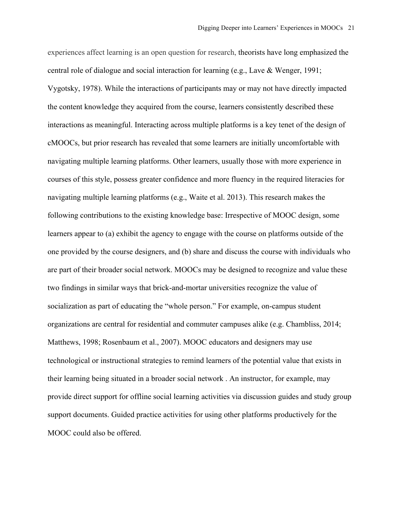experiences affect learning is an open question for research, theorists have long emphasized the central role of dialogue and social interaction for learning (e.g., Lave & Wenger, 1991; Vygotsky, 1978). While the interactions of participants may or may not have directly impacted the content knowledge they acquired from the course, learners consistently described these interactions as meaningful. Interacting across multiple platforms is a key tenet of the design of cMOOCs, but prior research has revealed that some learners are initially uncomfortable with navigating multiple learning platforms. Other learners, usually those with more experience in courses of this style, possess greater confidence and more fluency in the required literacies for navigating multiple learning platforms (e.g., Waite et al. 2013). This research makes the following contributions to the existing knowledge base: Irrespective of MOOC design, some learners appear to (a) exhibit the agency to engage with the course on platforms outside of the one provided by the course designers, and (b) share and discuss the course with individuals who are part of their broader social network. MOOCs may be designed to recognize and value these two findings in similar ways that brick-and-mortar universities recognize the value of socialization as part of educating the "whole person." For example, on-campus student organizations are central for residential and commuter campuses alike (e.g. Chambliss, 2014; Matthews, 1998; Rosenbaum et al., 2007). MOOC educators and designers may use technological or instructional strategies to remind learners of the potential value that exists in their learning being situated in a broader social network . An instructor, for example, may provide direct support for offline social learning activities via discussion guides and study group support documents. Guided practice activities for using other platforms productively for the MOOC could also be offered.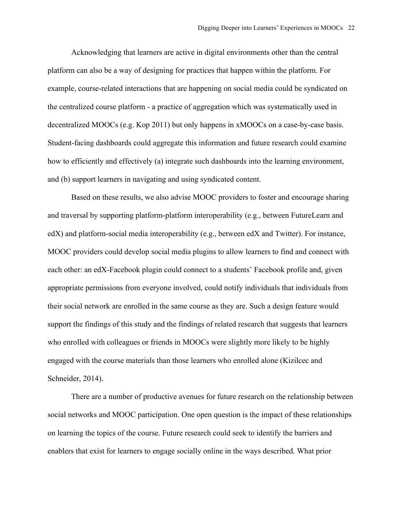Acknowledging that learners are active in digital environments other than the central platform can also be a way of designing for practices that happen within the platform. For example, course-related interactions that are happening on social media could be syndicated on the centralized course platform - a practice of aggregation which was systematically used in decentralized MOOCs (e.g. Kop 2011) but only happens in xMOOCs on a case-by-case basis. Student-facing dashboards could aggregate this information and future research could examine how to efficiently and effectively (a) integrate such dashboards into the learning environment, and (b) support learners in navigating and using syndicated content.

Based on these results, we also advise MOOC providers to foster and encourage sharing and traversal by supporting platform-platform interoperability (e.g., between FutureLearn and edX) and platform-social media interoperability (e.g., between edX and Twitter). For instance, MOOC providers could develop social media plugins to allow learners to find and connect with each other: an edX-Facebook plugin could connect to a students' Facebook profile and, given appropriate permissions from everyone involved, could notify individuals that individuals from their social network are enrolled in the same course as they are. Such a design feature would support the findings of this study and the findings of related research that suggests that learners who enrolled with colleagues or friends in MOOCs were slightly more likely to be highly engaged with the course materials than those learners who enrolled alone (Kizilcec and Schneider, 2014).

There are a number of productive avenues for future research on the relationship between social networks and MOOC participation. One open question is the impact of these relationships on learning the topics of the course. Future research could seek to identify the barriers and enablers that exist for learners to engage socially online in the ways described. What prior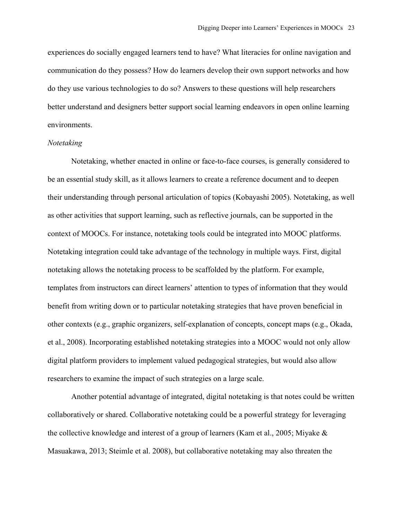experiences do socially engaged learners tend to have? What literacies for online navigation and communication do they possess? How do learners develop their own support networks and how do they use various technologies to do so? Answers to these questions will help researchers better understand and designers better support social learning endeavors in open online learning environments.

## *Notetaking*

Notetaking, whether enacted in online or face-to-face courses, is generally considered to be an essential study skill, as it allows learners to create a reference document and to deepen their understanding through personal articulation of topics (Kobayashi 2005). Notetaking, as well as other activities that support learning, such as reflective journals, can be supported in the context of MOOCs. For instance, notetaking tools could be integrated into MOOC platforms. Notetaking integration could take advantage of the technology in multiple ways. First, digital notetaking allows the notetaking process to be scaffolded by the platform. For example, templates from instructors can direct learners' attention to types of information that they would benefit from writing down or to particular notetaking strategies that have proven beneficial in other contexts (e.g., graphic organizers, self-explanation of concepts, concept maps (e.g., Okada, et al., 2008). Incorporating established notetaking strategies into a MOOC would not only allow digital platform providers to implement valued pedagogical strategies, but would also allow researchers to examine the impact of such strategies on a large scale.

Another potential advantage of integrated, digital notetaking is that notes could be written collaboratively or shared. Collaborative notetaking could be a powerful strategy for leveraging the collective knowledge and interest of a group of learners (Kam et al., 2005; Miyake & Masuakawa, 2013; Steimle et al. 2008), but collaborative notetaking may also threaten the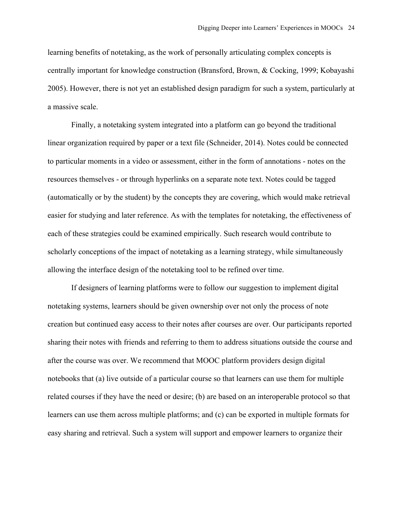learning benefits of notetaking, as the work of personally articulating complex concepts is centrally important for knowledge construction (Bransford, Brown, & Cocking, 1999; Kobayashi 2005). However, there is not yet an established design paradigm for such a system, particularly at a massive scale.

Finally, a notetaking system integrated into a platform can go beyond the traditional linear organization required by paper or a text file (Schneider, 2014). Notes could be connected to particular moments in a video or assessment, either in the form of annotations - notes on the resources themselves - or through hyperlinks on a separate note text. Notes could be tagged (automatically or by the student) by the concepts they are covering, which would make retrieval easier for studying and later reference. As with the templates for notetaking, the effectiveness of each of these strategies could be examined empirically. Such research would contribute to scholarly conceptions of the impact of notetaking as a learning strategy, while simultaneously allowing the interface design of the notetaking tool to be refined over time.

If designers of learning platforms were to follow our suggestion to implement digital notetaking systems, learners should be given ownership over not only the process of note creation but continued easy access to their notes after courses are over. Our participants reported sharing their notes with friends and referring to them to address situations outside the course and after the course was over. We recommend that MOOC platform providers design digital notebooks that (a) live outside of a particular course so that learners can use them for multiple related courses if they have the need or desire; (b) are based on an interoperable protocol so that learners can use them across multiple platforms; and (c) can be exported in multiple formats for easy sharing and retrieval. Such a system will support and empower learners to organize their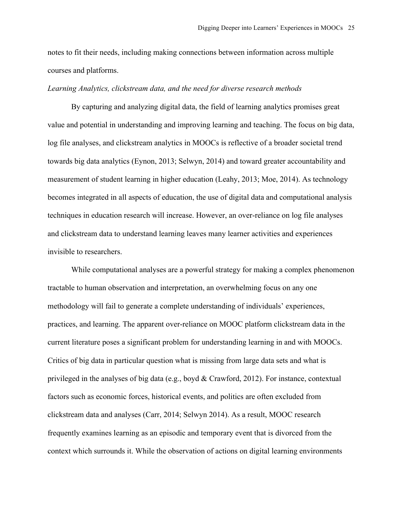notes to fit their needs, including making connections between information across multiple courses and platforms.

## *Learning Analytics, clickstream data, and the need for diverse research methods*

By capturing and analyzing digital data, the field of learning analytics promises great value and potential in understanding and improving learning and teaching. The focus on big data, log file analyses, and clickstream analytics in MOOCs is reflective of a broader societal trend towards big data analytics (Eynon, 2013; Selwyn, 2014) and toward greater accountability and measurement of student learning in higher education (Leahy, 2013; Moe, 2014). As technology becomes integrated in all aspects of education, the use of digital data and computational analysis techniques in education research will increase. However, an over-reliance on log file analyses and clickstream data to understand learning leaves many learner activities and experiences invisible to researchers.

While computational analyses are a powerful strategy for making a complex phenomenon tractable to human observation and interpretation, an overwhelming focus on any one methodology will fail to generate a complete understanding of individuals' experiences, practices, and learning. The apparent over-reliance on MOOC platform clickstream data in the current literature poses a significant problem for understanding learning in and with MOOCs. Critics of big data in particular question what is missing from large data sets and what is privileged in the analyses of big data (e.g., boyd & Crawford, 2012). For instance, contextual factors such as economic forces, historical events, and politics are often excluded from clickstream data and analyses (Carr, 2014; Selwyn 2014). As a result, MOOC research frequently examines learning as an episodic and temporary event that is divorced from the context which surrounds it. While the observation of actions on digital learning environments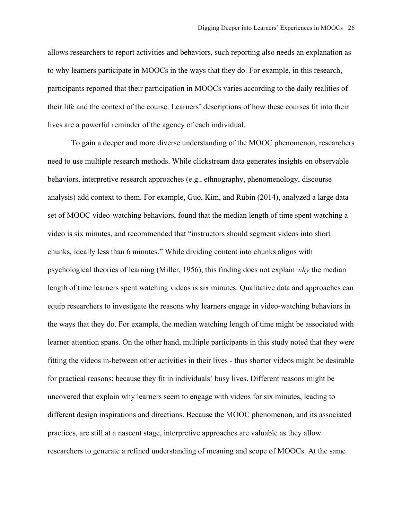allows researchers to report activities and behaviors, such reporting also needs an explanation as to why learners participate in MOOCs in the ways that they do. For example, in this research, participants reported that their participation in MOOCs varies according to the daily realities of their life and the context of the course. Learners' descriptions of how these courses fit into their lives are a powerful reminder of the agency of each individual.

To gain a deeper and more diverse understanding of the MOOC phenomenon, researchers need to use multiple research methods. While clickstream data generates insights on observable behaviors, interpretive research approaches (e.g., ethnography, phenomenology, discourse analysis) add context to them. For example, Guo, Kim, and Rubin (2014), analyzed a large data set of MOOC video-watching behaviors, found that the median length of time spent watching a video is six minutes, and recommended that "instructors should segment videos into short chunks, ideally less than 6 minutes." While dividing content into chunks aligns with psychological theories of learning (Miller, 1956), this finding does not explain *why* the median length of time learners spent watching videos is six minutes. Qualitative data and approaches can equip researchers to investigate the reasons why learners engage in video-watching behaviors in the ways that they do. For example, the median watching length of time might be associated with learner attention spans. On the other hand, multiple participants in this study noted that they were fitting the videos in-between other activities in their lives - thus shorter videos might be desirable for practical reasons: because they fit in individuals' busy lives. Different reasons might be uncovered that explain why learners seem to engage with videos for six minutes, leading to different design inspirations and directions. Because the MOOC phenomenon, and its associated practices, are still at a nascent stage, interpretive approaches are valuable as they allow researchers to generate a refined understanding of meaning and scope of MOOCs. At the same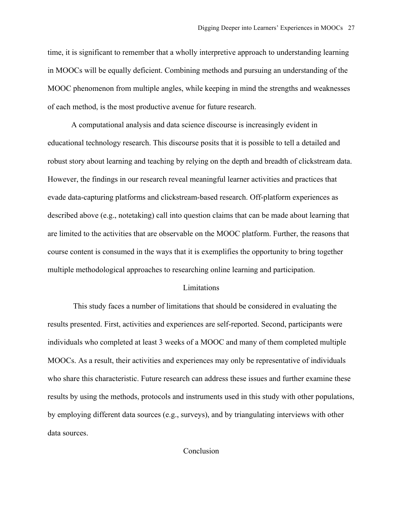time, it is significant to remember that a wholly interpretive approach to understanding learning in MOOCs will be equally deficient. Combining methods and pursuing an understanding of the MOOC phenomenon from multiple angles, while keeping in mind the strengths and weaknesses of each method, is the most productive avenue for future research.

A computational analysis and data science discourse is increasingly evident in educational technology research. This discourse posits that it is possible to tell a detailed and robust story about learning and teaching by relying on the depth and breadth of clickstream data. However, the findings in our research reveal meaningful learner activities and practices that evade data-capturing platforms and clickstream-based research. Off-platform experiences as described above (e.g., notetaking) call into question claims that can be made about learning that are limited to the activities that are observable on the MOOC platform. Further, the reasons that course content is consumed in the ways that it is exemplifies the opportunity to bring together multiple methodological approaches to researching online learning and participation.

# Limitations

This study faces a number of limitations that should be considered in evaluating the results presented. First, activities and experiences are self-reported. Second, participants were individuals who completed at least 3 weeks of a MOOC and many of them completed multiple MOOCs. As a result, their activities and experiences may only be representative of individuals who share this characteristic. Future research can address these issues and further examine these results by using the methods, protocols and instruments used in this study with other populations, by employing different data sources (e.g., surveys), and by triangulating interviews with other data sources.

Conclusion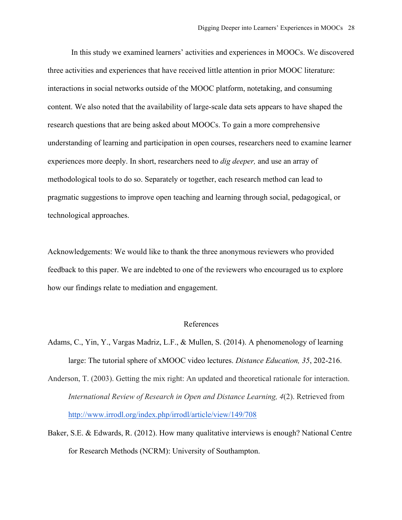In this study we examined learners' activities and experiences in MOOCs. We discovered three activities and experiences that have received little attention in prior MOOC literature: interactions in social networks outside of the MOOC platform, notetaking, and consuming content. We also noted that the availability of large-scale data sets appears to have shaped the research questions that are being asked about MOOCs. To gain a more comprehensive understanding of learning and participation in open courses, researchers need to examine learner experiences more deeply. In short, researchers need to *dig deeper,* and use an array of methodological tools to do so. Separately or together, each research method can lead to pragmatic suggestions to improve open teaching and learning through social, pedagogical, or technological approaches.

Acknowledgements: We would like to thank the three anonymous reviewers who provided feedback to this paper. We are indebted to one of the reviewers who encouraged us to explore how our findings relate to mediation and engagement.

#### References

- Adams, C., Yin, Y., Vargas Madriz, L.F., & Mullen, S. (2014). A phenomenology of learning large: The tutorial sphere of xMOOC video lectures. *Distance Education, 35*, 202-216.
- Anderson, T. (2003). Getting the mix right: An updated and theoretical rationale for interaction. *International Review of Research in Open and Distance Learning, 4*(2). Retrieved from http://www.irrodl.org/index.php/irrodl/article/view/149/708
- Baker, S.E. & Edwards, R. (2012). How many qualitative interviews is enough? National Centre for Research Methods (NCRM): University of Southampton.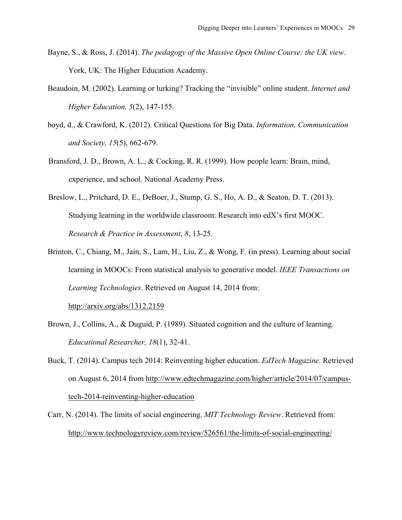- Bayne, S., & Ross, J. (2014). *The pedagogy of the Massive Open Online Course: the UK view*. York, UK: The Higher Education Academy.
- Beaudoin, M. (2002). Learning or lurking? Tracking the "invisible" online student. *Internet and Higher Education, 5*(2), 147-155.
- boyd, d., & Crawford, K. (2012). Critical Questions for Big Data. *Information, Communication and Society, 15*(5), 662-679.
- Bransford, J. D., Brown, A. L., & Cocking, R. R. (1999). How people learn: Brain, mind, experience, and school. National Academy Press.
- Breslow, L., Pritchard, D. E., DeBoer, J., Stump, G. S., Ho, A. D., & Seaton, D. T. (2013). Studying learning in the worldwide classroom: Research into edX's first MOOC. *Research & Practice in Assessment*, *8*, 13-25.
- Brinton, C., Chiang, M., Jain, S., Lam, H., Liu, Z., & Wong, F. (in press). Learning about social learning in MOOCs: From statistical analysis to generative model. *IEEE Transactions on Learning Technologies*. Retrieved on August 14, 2014 from:

http://arxiv.org/abs/1312.2159

- Brown, J., Collins, A., & Duguid, P. (1989). Situated cognition and the culture of learning. *Educational Researcher, 18*(1), 32-41.
- Buck, T. (2014). Campus tech 2014: Reinventing higher education. *EdTech Magazine*. Retrieved on August 6, 2014 from http://www.edtechmagazine.com/higher/article/2014/07/campustech-2014-reinventing-higher-education
- Carr, N. (2014). The limits of social engineering. *MIT Technology Review*. Retrieved from: http://www.technologyreview.com/review/526561/the-limits-of-social-engineering/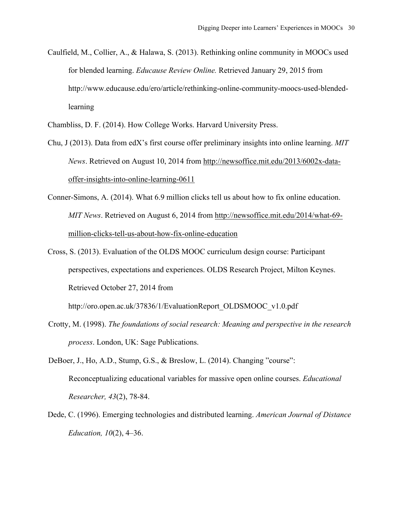Caulfield, M., Collier, A., & Halawa, S. (2013). Rethinking online community in MOOCs used for blended learning. *Educause Review Online.* Retrieved January 29, 2015 from http://www.educause.edu/ero/article/rethinking-online-community-moocs-used-blendedlearning

Chambliss, D. F. (2014). How College Works. Harvard University Press.

- Chu, J (2013). Data from edX's first course offer preliminary insights into online learning. *MIT News*. Retrieved on August 10, 2014 from http://newsoffice.mit.edu/2013/6002x-dataoffer-insights-into-online-learning-0611
- Conner-Simons, A. (2014). What 6.9 million clicks tell us about how to fix online education. *MIT News*. Retrieved on August 6, 2014 from http://newsoffice.mit.edu/2014/what-69 million-clicks-tell-us-about-how-fix-online-education
- Cross, S. (2013). Evaluation of the OLDS MOOC curriculum design course: Participant perspectives, expectations and experiences. OLDS Research Project, Milton Keynes. Retrieved October 27, 2014 from

http://oro.open.ac.uk/37836/1/EvaluationReport\_OLDSMOOC\_v1.0.pdf

Crotty, M. (1998). *The foundations of social research: Meaning and perspective in the research process*. London, UK: Sage Publications.

DeBoer, J., Ho, A.D., Stump, G.S., & Breslow, L. (2014). Changing "course": Reconceptualizing educational variables for massive open online courses. *Educational Researcher, 43*(2), 78-84.

Dede, C. (1996). Emerging technologies and distributed learning. *American Journal of Distance Education, 10*(2), 4–36.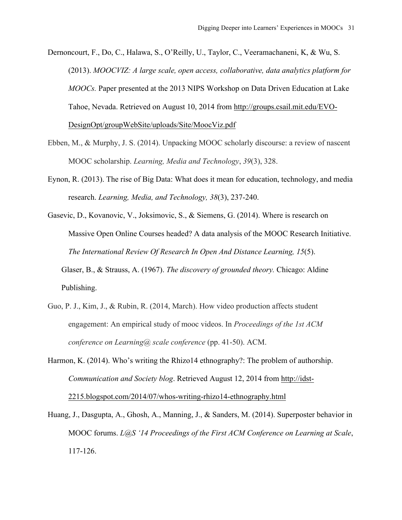Dernoncourt, F., Do, C., Halawa, S., O'Reilly, U., Taylor, C., Veeramachaneni, K, & Wu, S. (2013). *MOOCVIZ: A large scale, open access, collaborative, data analytics platform for MOOCs.* Paper presented at the 2013 NIPS Workshop on Data Driven Education at Lake Tahoe, Nevada. Retrieved on August 10, 2014 from http://groups.csail.mit.edu/EVO-DesignOpt/groupWebSite/uploads/Site/MoocViz.pdf

- Ebben, M., & Murphy, J. S. (2014). Unpacking MOOC scholarly discourse: a review of nascent MOOC scholarship. *Learning, Media and Technology*, *39*(3), 328.
- Eynon, R. (2013). The rise of Big Data: What does it mean for education, technology, and media research. *Learning, Media, and Technology, 38*(3), 237-240.

Gasevic, D., Kovanovic, V., Joksimovic, S., & Siemens, G. (2014). Where is research on Massive Open Online Courses headed? A data analysis of the MOOC Research Initiative. *The International Review Of Research In Open And Distance Learning, 15*(5). Glaser, B., & Strauss, A. (1967). *The discovery of grounded theory.* Chicago: Aldine Publishing.

- Guo, P. J., Kim, J., & Rubin, R. (2014, March). How video production affects student engagement: An empirical study of mooc videos. In *Proceedings of the 1st ACM conference on Learning@ scale conference* (pp. 41-50). ACM.
- Harmon, K. (2014). Who's writing the Rhizo14 ethnography?: The problem of authorship. *Communication and Society blog*. Retrieved August 12, 2014 from http://idst-2215.blogspot.com/2014/07/whos-writing-rhizo14-ethnography.html
- Huang, J., Dasgupta, A., Ghosh, A., Manning, J., & Sanders, M. (2014). Superposter behavior in MOOC forums. *L@S '14 Proceedings of the First ACM Conference on Learning at Scale*, 117-126.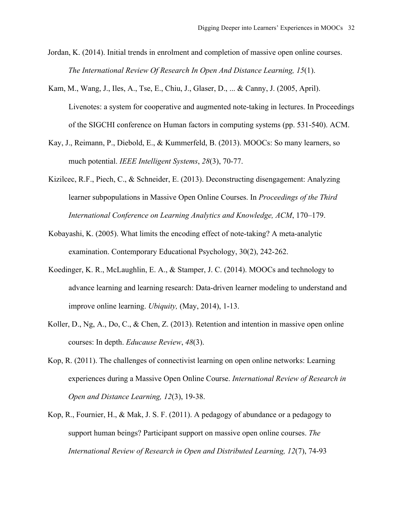Jordan, K. (2014). Initial trends in enrolment and completion of massive open online courses. *The International Review Of Research In Open And Distance Learning, 15*(1).

- Kam, M., Wang, J., Iles, A., Tse, E., Chiu, J., Glaser, D., ... & Canny, J. (2005, April). Livenotes: a system for cooperative and augmented note-taking in lectures. In Proceedings of the SIGCHI conference on Human factors in computing systems (pp. 531-540). ACM.
- Kay, J., Reimann, P., Diebold, E., & Kummerfeld, B. (2013). MOOCs: So many learners, so much potential. *IEEE Intelligent Systems*, *28*(3), 70-77.
- Kizilcec, R.F., Piech, C., & Schneider, E. (2013). Deconstructing disengagement: Analyzing learner subpopulations in Massive Open Online Courses. In *Proceedings of the Third International Conference on Learning Analytics and Knowledge, ACM*, 170–179.
- Kobayashi, K. (2005). What limits the encoding effect of note-taking? A meta-analytic examination. Contemporary Educational Psychology, 30(2), 242-262.
- Koedinger, K. R., McLaughlin, E. A., & Stamper, J. C. (2014). MOOCs and technology to advance learning and learning research: Data-driven learner modeling to understand and improve online learning. *Ubiquity,* (May, 2014), 1-13.
- Koller, D., Ng, A., Do, C., & Chen, Z. (2013). Retention and intention in massive open online courses: In depth. *Educause Review*, *48*(3).
- Kop, R. (2011). The challenges of connectivist learning on open online networks: Learning experiences during a Massive Open Online Course. *International Review of Research in Open and Distance Learning, 12*(3), 19-38.
- Kop, R., Fournier, H., & Mak, J. S. F. (2011). A pedagogy of abundance or a pedagogy to support human beings? Participant support on massive open online courses. *The International Review of Research in Open and Distributed Learning, 12*(7), 74-93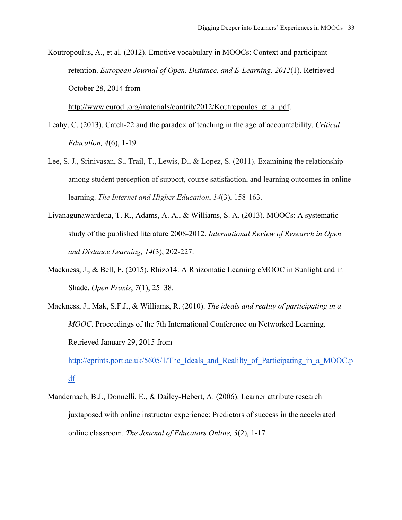Koutropoulus, A., et al. (2012). Emotive vocabulary in MOOCs: Context and participant retention. *European Journal of Open, Distance, and E-Learning, 2012*(1). Retrieved October 28, 2014 from

http://www.eurodl.org/materials/contrib/2012/Koutropoulos et al.pdf.

- Leahy, C. (2013). Catch-22 and the paradox of teaching in the age of accountability. *Critical Education, 4*(6), 1-19.
- Lee, S. J., Srinivasan, S., Trail, T., Lewis, D., & Lopez, S. (2011). Examining the relationship among student perception of support, course satisfaction, and learning outcomes in online learning. *The Internet and Higher Education*, *14*(3), 158-163.
- Liyanagunawardena, T. R., Adams, A. A., & Williams, S. A. (2013). MOOCs: A systematic study of the published literature 2008-2012. *International Review of Research in Open and Distance Learning, 14*(3), 202-227.
- Mackness, J., & Bell, F. (2015). Rhizo14: A Rhizomatic Learning cMOOC in Sunlight and in Shade. *Open Praxis*, *7*(1), 25–38.
- Mackness, J., Mak, S.F.J., & Williams, R. (2010). *The ideals and reality of participating in a MOOC*. Proceedings of the 7th International Conference on Networked Learning. Retrieved January 29, 2015 from

http://eprints.port.ac.uk/5605/1/The\_Ideals\_and\_Realilty\_of\_Participating\_in\_a\_MOOC.p df

Mandernach, B.J., Donnelli, E., & Dailey-Hebert, A. (2006). Learner attribute research juxtaposed with online instructor experience: Predictors of success in the accelerated online classroom. *The Journal of Educators Online, 3*(2), 1-17.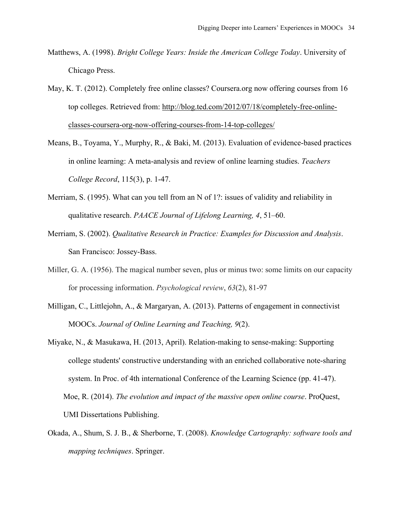- Matthews, A. (1998). *Bright College Years: Inside the American College Today*. University of Chicago Press.
- May, K. T. (2012). Completely free online classes? Coursera.org now offering courses from 16 top colleges. Retrieved from: http://blog.ted.com/2012/07/18/completely-free-onlineclasses-coursera-org-now-offering-courses-from-14-top-colleges/
- Means, B., Toyama, Y., Murphy, R., & Baki, M. (2013). Evaluation of evidence-based practices in online learning: A meta-analysis and review of online learning studies. *Teachers College Record*, 115(3), p. 1-47.
- Merriam, S. (1995). What can you tell from an N of 1?: issues of validity and reliability in qualitative research. *PAACE Journal of Lifelong Learning, 4*, 51–60.
- Merriam, S. (2002). *Qualitative Research in Practice: Examples for Discussion and Analysis*. San Francisco: Jossey-Bass.
- Miller, G. A. (1956). The magical number seven, plus or minus two: some limits on our capacity for processing information. *Psychological review*, *63*(2), 81-97
- Milligan, C., Littlejohn, A., & Margaryan, A. (2013). Patterns of engagement in connectivist MOOCs. *Journal of Online Learning and Teaching, 9*(2).
- Miyake, N., & Masukawa, H. (2013, April). Relation-making to sense-making: Supporting college students' constructive understanding with an enriched collaborative note-sharing system. In Proc. of 4th international Conference of the Learning Science (pp. 41-47). Moe, R. (2014). *The evolution and impact of the massive open online course*. ProQuest, UMI Dissertations Publishing.
- Okada, A., Shum, S. J. B., & Sherborne, T. (2008). *Knowledge Cartography: software tools and mapping techniques*. Springer.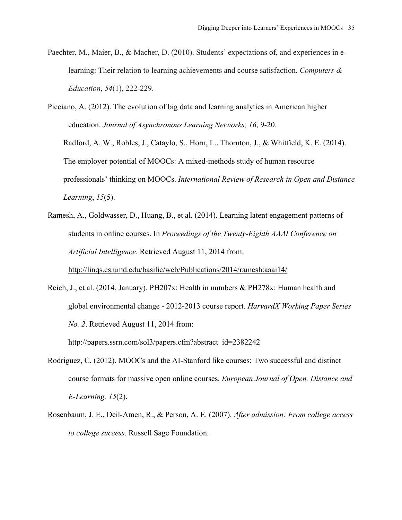- Paechter, M., Maier, B., & Macher, D. (2010). Students' expectations of, and experiences in elearning: Their relation to learning achievements and course satisfaction. *Computers & Education*, *54*(1), 222-229.
- Picciano, A. (2012). The evolution of big data and learning analytics in American higher education. *Journal of Asynchronous Learning Networks, 16*, 9-20. Radford, A. W., Robles, J., Cataylo, S., Horn, L., Thornton, J., & Whitfield, K. E. (2014). The employer potential of MOOCs: A mixed-methods study of human resource professionals' thinking on MOOCs. *International Review of Research in Open and Distance Learning*, *15*(5).
- Ramesh, A., Goldwasser, D., Huang, B., et al. (2014). Learning latent engagement patterns of students in online courses. In *Proceedings of the Twenty-Eighth AAAI Conference on Artificial Intelligence*. Retrieved August 11, 2014 from: http://linqs.cs.umd.edu/basilic/web/Publications/2014/ramesh:aaai14/
- Reich, J., et al. (2014, January). PH207x: Health in numbers & PH278x: Human health and global environmental change - 2012-2013 course report. *HarvardX Working Paper Series No. 2*. Retrieved August 11, 2014 from: http://papers.ssrn.com/sol3/papers.cfm?abstract\_id=2382242
- Rodriguez, C. (2012). MOOCs and the AI-Stanford like courses: Two successful and distinct course formats for massive open online courses. *European Journal of Open, Distance and E-Learning, 15*(2).
- Rosenbaum, J. E., Deil-Amen, R., & Person, A. E. (2007). *After admission: From college access to college success*. Russell Sage Foundation.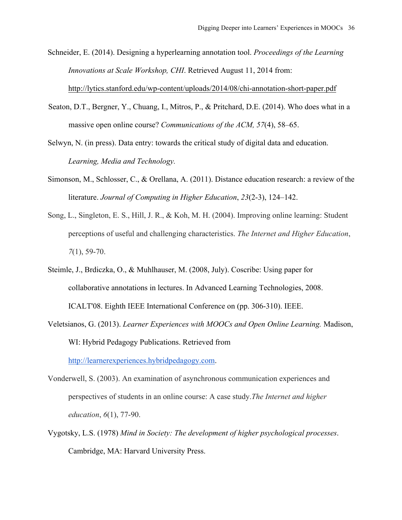Schneider, E. (2014). Designing a hyperlearning annotation tool. *Proceedings of the Learning Innovations at Scale Workshop, CHI*. Retrieved August 11, 2014 from:

http://lytics.stanford.edu/wp-content/uploads/2014/08/chi-annotation-short-paper.pdf

- Seaton, D.T., Bergner, Y., Chuang, I., Mitros, P., & Pritchard, D.E. (2014). Who does what in a massive open online course? *Communications of the ACM, 57*(4), 58–65.
- Selwyn, N. (in press). Data entry: towards the critical study of digital data and education. *Learning, Media and Technology.*
- Simonson, M., Schlosser, C., & Orellana, A. (2011). Distance education research: a review of the literature. *Journal of Computing in Higher Education*, *23*(2-3), 124–142.
- Song, L., Singleton, E. S., Hill, J. R., & Koh, M. H. (2004). Improving online learning: Student perceptions of useful and challenging characteristics. *The Internet and Higher Education*, *7*(1), 59-70.
- Steimle, J., Brdiczka, O., & Muhlhauser, M. (2008, July). Coscribe: Using paper for collaborative annotations in lectures. In Advanced Learning Technologies, 2008. ICALT'08. Eighth IEEE International Conference on (pp. 306-310). IEEE.
- Veletsianos, G. (2013). *Learner Experiences with MOOCs and Open Online Learning.* Madison, WI: Hybrid Pedagogy Publications. Retrieved from

http://learnerexperiences.hybridpedagogy.com.

- Vonderwell, S. (2003). An examination of asynchronous communication experiences and perspectives of students in an online course: A case study.*The Internet and higher education*, *6*(1), 77-90.
- Vygotsky, L.S. (1978) *Mind in Society: The development of higher psychological processes*. Cambridge, MA: Harvard University Press.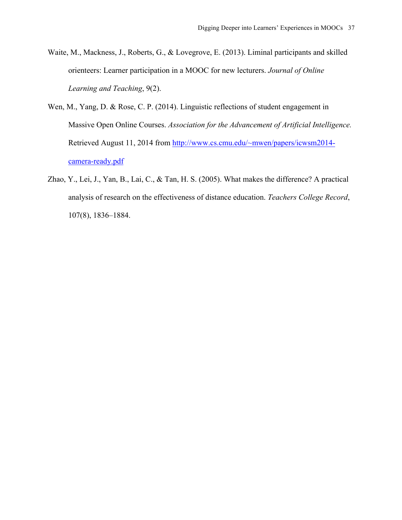- Waite, M., Mackness, J., Roberts, G., & Lovegrove, E. (2013). Liminal participants and skilled orienteers: Learner participation in a MOOC for new lecturers. *Journal of Online Learning and Teaching*, 9(2).
- Wen, M., Yang, D. & Rose, C. P. (2014). Linguistic reflections of student engagement in Massive Open Online Courses. *Association for the Advancement of Artificial Intelligence.* Retrieved August 11, 2014 from http://www.cs.cmu.edu/~mwen/papers/icwsm2014 camera-ready.pdf
- Zhao, Y., Lei, J., Yan, B., Lai, C., & Tan, H. S. (2005). What makes the difference? A practical analysis of research on the effectiveness of distance education. *Teachers College Record*, 107(8), 1836–1884.